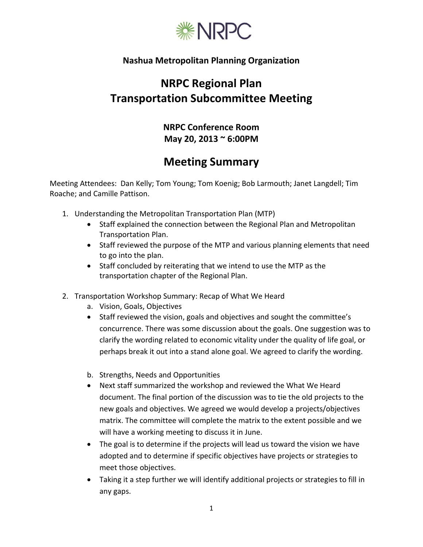

## **Nashua Metropolitan Planning Organization**

## **NRPC Regional Plan Transportation Subcommittee Meeting**

**NRPC Conference Room May 20, 2013 ~ 6:00PM**

## **Meeting Summary**

Meeting Attendees: Dan Kelly; Tom Young; Tom Koenig; Bob Larmouth; Janet Langdell; Tim Roache; and Camille Pattison.

- 1. Understanding the Metropolitan Transportation Plan (MTP)
	- Staff explained the connection between the Regional Plan and Metropolitan Transportation Plan.
	- Staff reviewed the purpose of the MTP and various planning elements that need to go into the plan.
	- Staff concluded by reiterating that we intend to use the MTP as the transportation chapter of the Regional Plan.
- 2. Transportation Workshop Summary: Recap of What We Heard
	- a. Vision, Goals, Objectives
	- Staff reviewed the vision, goals and objectives and sought the committee's concurrence. There was some discussion about the goals. One suggestion was to clarify the wording related to economic vitality under the quality of life goal, or perhaps break it out into a stand alone goal. We agreed to clarify the wording.
	- b. Strengths, Needs and Opportunities
	- Next staff summarized the workshop and reviewed the What We Heard document. The final portion of the discussion was to tie the old projects to the new goals and objectives. We agreed we would develop a projects/objectives matrix. The committee will complete the matrix to the extent possible and we will have a working meeting to discuss it in June.
	- The goal is to determine if the projects will lead us toward the vision we have adopted and to determine if specific objectives have projects or strategies to meet those objectives.
	- Taking it a step further we will identify additional projects or strategies to fill in any gaps.